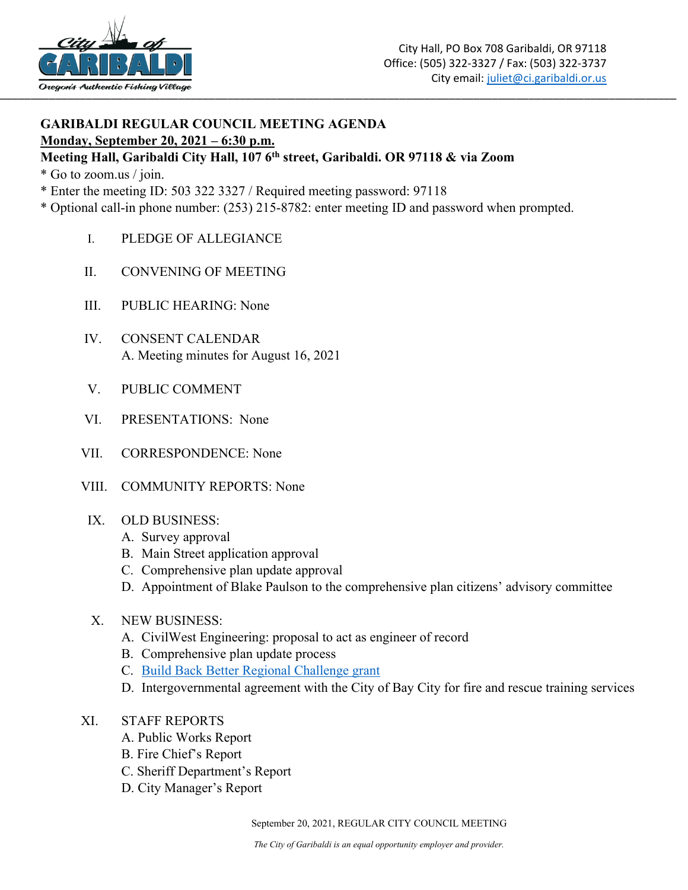

## **GARIBALDI REGULAR COUNCIL MEETING AGENDA Monday, September 20, 2021 – 6:30 p.m.**

## **Meeting Hall, Garibaldi City Hall, 107 6th street, Garibaldi. OR 97118 & via Zoom**

\* Go to zoom.us / join.

- \* Enter the meeting ID: 503 322 3327 / Required meeting password: 97118
- \* Optional call-in phone number: (253) 215-8782: enter meeting ID and password when prompted.
	- I. PLEDGE OF ALLEGIANCE
	- II. CONVENING OF MEETING
	- III. PUBLIC HEARING: None
	- IV. CONSENT CALENDAR A. Meeting minutes for August 16, 2021
	- V. PUBLIC COMMENT
	- VI. PRESENTATIONS: None
	- VII. CORRESPONDENCE: None
	- VIII. COMMUNITY REPORTS: None
	- IX. OLD BUSINESS:
		- A. Survey approval
		- B. Main Street application approval
		- C. Comprehensive plan update approval
		- D. Appointment of Blake Paulson to the comprehensive plan citizens' advisory committee
	- X. NEW BUSINESS:
		- A. CivilWest Engineering: proposal to act as engineer of record
		- B. Comprehensive plan update process
		- C. [Build Back Better Regional Challenge grant](https://eda.gov/arpa/build-back-better/faq/)
		- D. Intergovernmental agreement with the City of Bay City for fire and rescue training services
	- XI. STAFF REPORTS
		- A. Public Works Report
		- B. Fire Chief's Report
		- C. Sheriff Department's Report
		- D. City Manager's Report